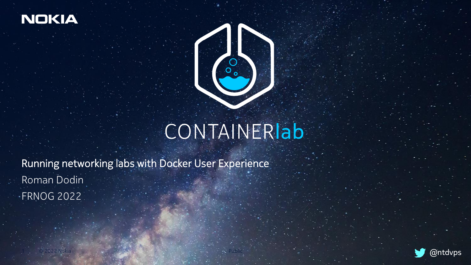

1 © 2022 Nokia



## CONTAINERIab

Running networking labs with Docker User Experience Roman Dodin FRNOG 2022

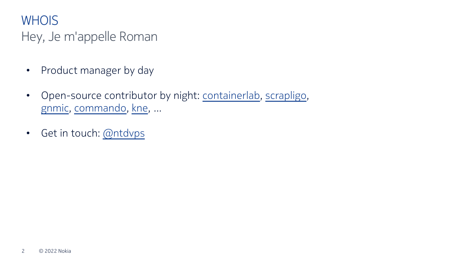#### **WHOIS**

#### Hey, Je m'appelle Roman

- Product manager by day
- Open-source contributor by night: [containerlab,](https://containerlab.srlinux.dev/) [scrapligo,](https://github.com/scrapli/scrapligo) [gnmic](https://gnmic.kmrd.dev/), [commando](https://github.com/hellt/cmdo), [kne](https://github.com/google/kne), ...
- Get in touch: [@ntdvps](https://twitter.com/ntdvps)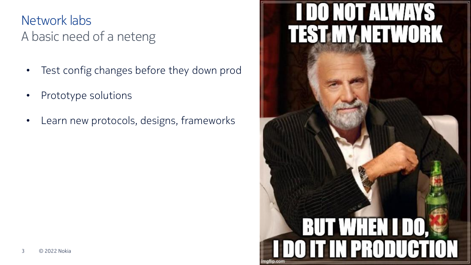#### A basic need of a neteng Network labs

- Test config changes before they down prod
- Prototype solutions
- Learn new protocols, designs, frameworks

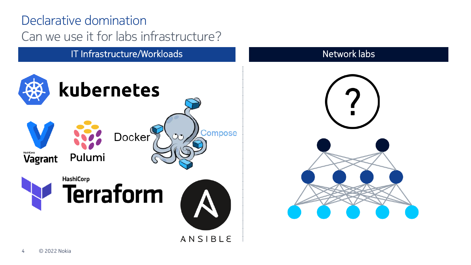#### Can we use it for labs infrastructure? Declarative domination

IT Infrastructure/Workloads Network labs



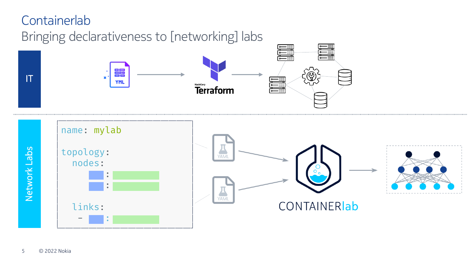#### **Containerlab**

Bringing declarativeness to [networking] labs

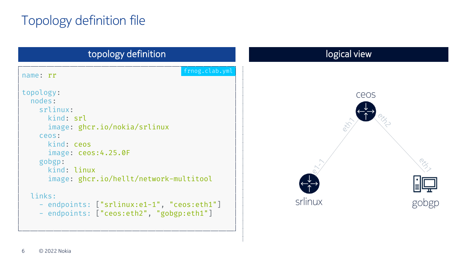### Topology definition file

| topology definition                                                                                                                                                                                                                                                                               | logical view    |
|---------------------------------------------------------------------------------------------------------------------------------------------------------------------------------------------------------------------------------------------------------------------------------------------------|-----------------|
| frnog.clab.yml<br>name: rr                                                                                                                                                                                                                                                                        |                 |
| topology:<br>nodes:<br>srlinux:<br>kind: srl<br>image: ghcr.io/nokia/srlinux<br>ceos:<br>kind: ceos<br>image: ceos:4.25.0F<br>gobgp:<br>kind: linux<br>image: ghcr.io/hellt/network-multitool<br>links:<br>- endpoints: ["srlinux:e1-1", "ceos:eth1"]<br>- endpoints: ["ceos:eth2", "gobgp:eth1"] | ceos<br>srlinux |
|                                                                                                                                                                                                                                                                                                   |                 |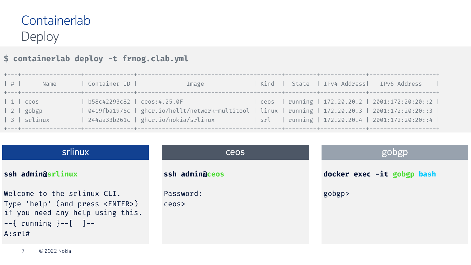#### Deploy **Containerlab**

#### **\$ containerlab deploy -t frnog.clab.yml**

| $\vert$ # $\vert$<br>Name                                          | Container ID              | Image                                                                                                                                                                                            |  | Kind   State   IPv4 Address  IPv6 Address<br>$\sim$ 1.0 |
|--------------------------------------------------------------------|---------------------------|--------------------------------------------------------------------------------------------------------------------------------------------------------------------------------------------------|--|---------------------------------------------------------|
| $\vert$ 1 $\vert$ ceos<br>$\vert 2 \vert$ gobgp<br>$  3  $ srlinux | b58c42293c82 ceos:4.25.0F | 0419fba1976c   ghcr.io/hellt/network-multitool   linux   running   172.20.20.3   2001:172:20:20::3  <br>  244aa33b261c   ghcr.io/nokia/srlinux   srl   running   172.20.20.4   2001:172:20:20::4 |  | ceos   running   172.20.20.2   2001:172:20:20::2        |

| srlinux                                                                                                                                                      | <b>CEOS</b>        | gobgp                      |  |  |
|--------------------------------------------------------------------------------------------------------------------------------------------------------------|--------------------|----------------------------|--|--|
| ssh admin@srlinux                                                                                                                                            | ssh admin@ceos     | docker exec -it gobgp bash |  |  |
| Welcome to the srlinux CLI.<br>Type 'help' (and press <enter>)<br/>if you need any help using this.<br/><math>--</math>{ running }--[ ]--<br/>A:srL#</enter> | Password:<br>ceos> | gobgp>                     |  |  |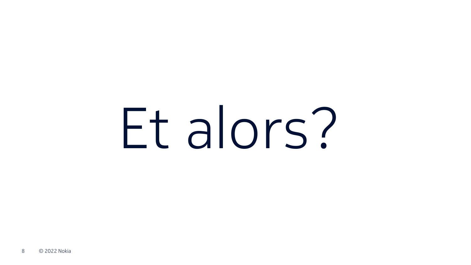# Et alors?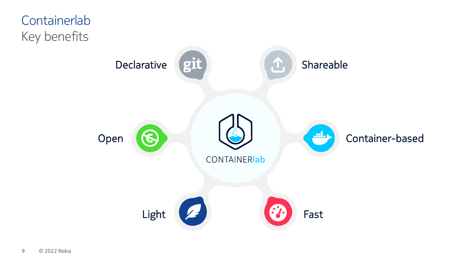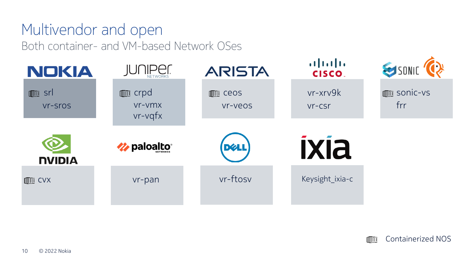#### Multivendor and open Both container- and VM-based Network OSes



Containerized NOS MM